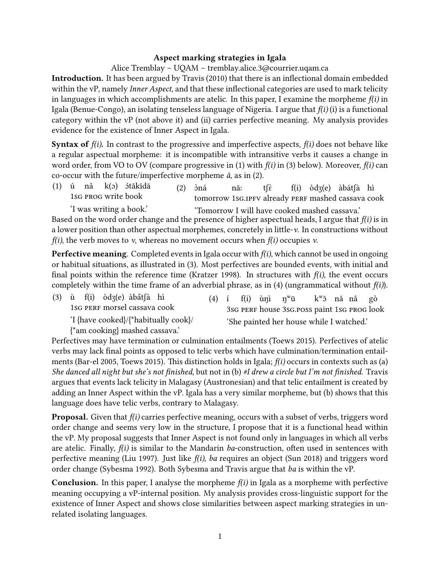## **Aspect marking strategies in Igala**

Alice Tremblay – UQAM – tremblay.alice.3@courrier.uqam.ca

**Introduction.** It has been argued by Travis (2010) that there is an inflectional domain embedded within the vP, namely *Inner Aspect*, and that these inflectional categories are used to mark telicity in languages in which accomplishments are atelic. In this paper, I examine the morpheme  $f(i)$  in Igala (Benue-Congo), an isolating tenseless language of Nigeria. I argue that *f(i)* (i) is a functional category within the vP (not above it) and (ii) carries perfective meaning. My analysis provides evidence for the existence of Inner Aspect in Igala.

**Syntax of** *f(i)***.** In contrast to the progressive and imperfective aspects, *f(i)* does not behave like a regular aspectual morpheme: it is incompatible with intransitive verbs it causes a change in word order, from VO to OV (compare progressive in (1) with *f(i)* in (3) below). Moreover, *f(i)* can co-occur with the future/imperfective morpheme *ǎ*, as in (2).

(1) ú nâ 1sg pRog write book k(ɔ) ɔ́tākīdā  $(2)$   $\dot{0}$ ná tomorrow 1sG.1PFV already PERF mashed cassava cook nǎː tʃɛ̀ f(i) òdʒ(e) àbátʃà hì

'I was writing a book.' 'Tomorrow I will have cooked mashed cassava.' Based on the word order change and the presence of higher aspectual heads, I argue that *f(i)* is in a lower position than other aspectual morphemes, concretely in little-*v*. In constructions without *f(i)*, the verb moves to *v*, whereas no movement occurs when *f(i)* occupies *v*.

**Perfective meaning**. Completed events in Igala occur with *f(i)*, which cannot be used in ongoing or habitual situations, as illustrated in (3). Most perfectives are bounded events, with initial and final points within the reference time (Kratzer 1998). In structures with  $f(i)$ , the event occurs completely within the time frame of an adverbial phrase, as in (4) (ungrammatical without *f(i)*).

| $(3)$ ù $f(i)$ òdz $(e)$ àbát $(i)$ hì                                 |  |  | (4) í f(i) ùni n <sup>w</sup> ū             | k <sup>w</sup> ō nǎ nâ gò |  |  |
|------------------------------------------------------------------------|--|--|---------------------------------------------|---------------------------|--|--|
| 1sG PERF morsel cassava cook                                           |  |  | 3sG PERF house 3sG.POSS paint 1sG PROG look |                           |  |  |
| 'I {have cooked}/{*habitually cook}/<br>{*am cooking} mashed cassava.' |  |  | 'She painted her house while I watched.'    |                           |  |  |

Perfectives may have termination or culmination entailments (Toews 2015). Perfectives of atelic verbs may lack final points as opposed to telic verbs which have culmination/termination entailments (Bar-el 2005, Toews 2015). This distinction holds in Igala; *f(i)* occurs in contexts such as (a) *She danced all night but she's not finished*, but not in (b) *#I drew a circle but I'm not finished*. Travis argues that events lack telicity in Malagasy (Austronesian) and that telic entailment is created by adding an Inner Aspect within the vP. Igala has a very similar morpheme, but (b) shows that this language does have telic verbs, contrary to Malagasy.

**Proposal.** Given that *f(i)* carries perfective meaning, occurs with a subset of verbs, triggers word order change and seems very low in the structure, I propose that it is a functional head within the vP. My proposal suggests that Inner Aspect is not found only in languages in which all verbs are atelic. Finally, *f(i)* is similar to the Mandarin *ba*-construction, often used in sentences with perfective meaning (Liu 1997). Just like *f(i)*, *ba* requires an object (Sun 2018) and triggers word order change (Sybesma 1992). Both Sybesma and Travis argue that *ba* is within the vP.

**Conclusion.** In this paper, I analyse the morpheme *f(i)* in Igala as a morpheme with perfective meaning occupying a vP-internal position. My analysis provides cross-linguistic support for the existence of Inner Aspect and shows close similarities between aspect marking strategies in unrelated isolating languages.